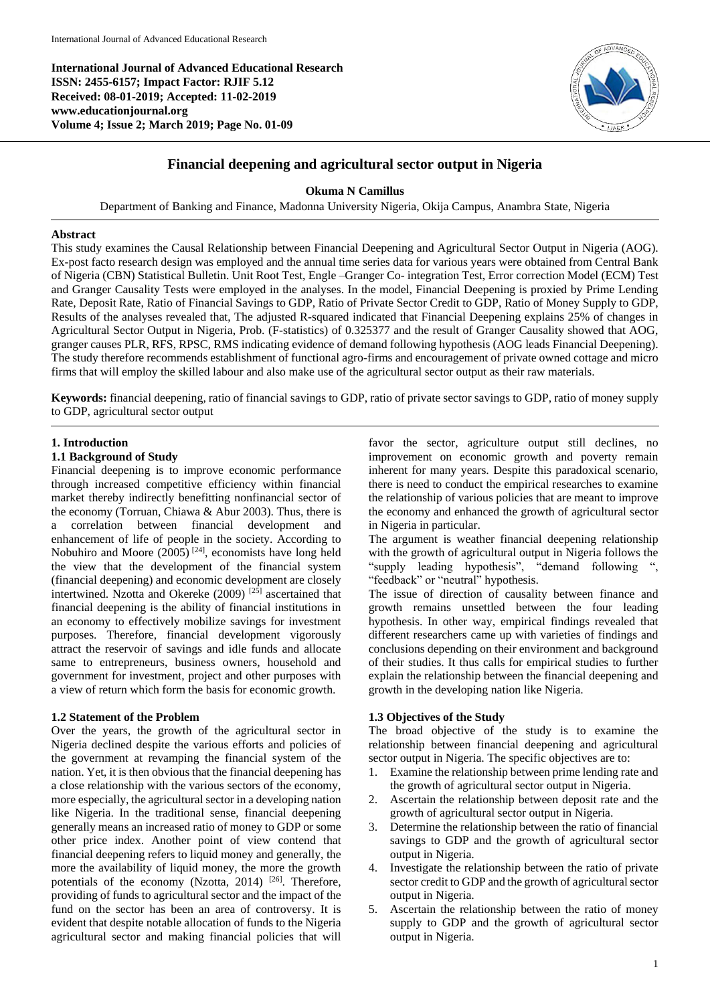**International Journal of Advanced Educational Research ISSN: 2455-6157; Impact Factor: RJIF 5.12 Received: 08-01-2019; Accepted: 11-02-2019 www.educationjournal.org Volume 4; Issue 2; March 2019; Page No. 01-09**



# **Financial deepening and agricultural sector output in Nigeria**

## **Okuma N Camillus**

Department of Banking and Finance, Madonna University Nigeria, Okija Campus, Anambra State, Nigeria

#### **Abstract**

This study examines the Causal Relationship between Financial Deepening and Agricultural Sector Output in Nigeria (AOG). Ex-post facto research design was employed and the annual time series data for various years were obtained from Central Bank of Nigeria (CBN) Statistical Bulletin. Unit Root Test, Engle –Granger Co- integration Test, Error correction Model (ECM) Test and Granger Causality Tests were employed in the analyses. In the model, Financial Deepening is proxied by Prime Lending Rate, Deposit Rate, Ratio of Financial Savings to GDP, Ratio of Private Sector Credit to GDP, Ratio of Money Supply to GDP, Results of the analyses revealed that, The adjusted R-squared indicated that Financial Deepening explains 25% of changes in Agricultural Sector Output in Nigeria, Prob. (F-statistics) of 0.325377 and the result of Granger Causality showed that AOG, granger causes PLR, RFS, RPSC, RMS indicating evidence of demand following hypothesis (AOG leads Financial Deepening). The study therefore recommends establishment of functional agro-firms and encouragement of private owned cottage and micro firms that will employ the skilled labour and also make use of the agricultural sector output as their raw materials.

**Keywords:** financial deepening, ratio of financial savings to GDP, ratio of private sector savings to GDP, ratio of money supply to GDP, agricultural sector output

#### **1. Introduction**

#### **1.1 Background of Study**

Financial deepening is to improve economic performance through increased competitive efficiency within financial market thereby indirectly benefitting nonfinancial sector of the economy (Torruan, Chiawa & Abur 2003). Thus, there is a correlation between financial development and enhancement of life of people in the society. According to Nobuhiro and Moore  $(2005)$ <sup>[24]</sup>, economists have long held the view that the development of the financial system (financial deepening) and economic development are closely intertwined. Nzotta and Okereke (2009) [25] ascertained that financial deepening is the ability of financial institutions in an economy to effectively mobilize savings for investment purposes. Therefore, financial development vigorously attract the reservoir of savings and idle funds and allocate same to entrepreneurs, business owners, household and government for investment, project and other purposes with a view of return which form the basis for economic growth.

#### **1.2 Statement of the Problem**

Over the years, the growth of the agricultural sector in Nigeria declined despite the various efforts and policies of the government at revamping the financial system of the nation. Yet, it is then obvious that the financial deepening has a close relationship with the various sectors of the economy, more especially, the agricultural sector in a developing nation like Nigeria. In the traditional sense, financial deepening generally means an increased ratio of money to GDP or some other price index. Another point of view contend that financial deepening refers to liquid money and generally, the more the availability of liquid money, the more the growth potentials of the economy (Nzotta, 2014) <sup>[26]</sup>. Therefore, providing of funds to agricultural sector and the impact of the fund on the sector has been an area of controversy. It is evident that despite notable allocation of funds to the Nigeria agricultural sector and making financial policies that will

favor the sector, agriculture output still declines, no improvement on economic growth and poverty remain inherent for many years. Despite this paradoxical scenario, there is need to conduct the empirical researches to examine the relationship of various policies that are meant to improve the economy and enhanced the growth of agricultural sector in Nigeria in particular.

The argument is weather financial deepening relationship with the growth of agricultural output in Nigeria follows the "supply leading hypothesis", "demand following ", "feedback" or "neutral" hypothesis.

The issue of direction of causality between finance and growth remains unsettled between the four leading hypothesis. In other way, empirical findings revealed that different researchers came up with varieties of findings and conclusions depending on their environment and background of their studies. It thus calls for empirical studies to further explain the relationship between the financial deepening and growth in the developing nation like Nigeria.

## **1.3 Objectives of the Study**

The broad objective of the study is to examine the relationship between financial deepening and agricultural sector output in Nigeria. The specific objectives are to:

- 1. Examine the relationship between prime lending rate and the growth of agricultural sector output in Nigeria.
- 2. Ascertain the relationship between deposit rate and the growth of agricultural sector output in Nigeria.
- 3. Determine the relationship between the ratio of financial savings to GDP and the growth of agricultural sector output in Nigeria.
- 4. Investigate the relationship between the ratio of private sector credit to GDP and the growth of agricultural sector output in Nigeria.
- 5. Ascertain the relationship between the ratio of money supply to GDP and the growth of agricultural sector output in Nigeria.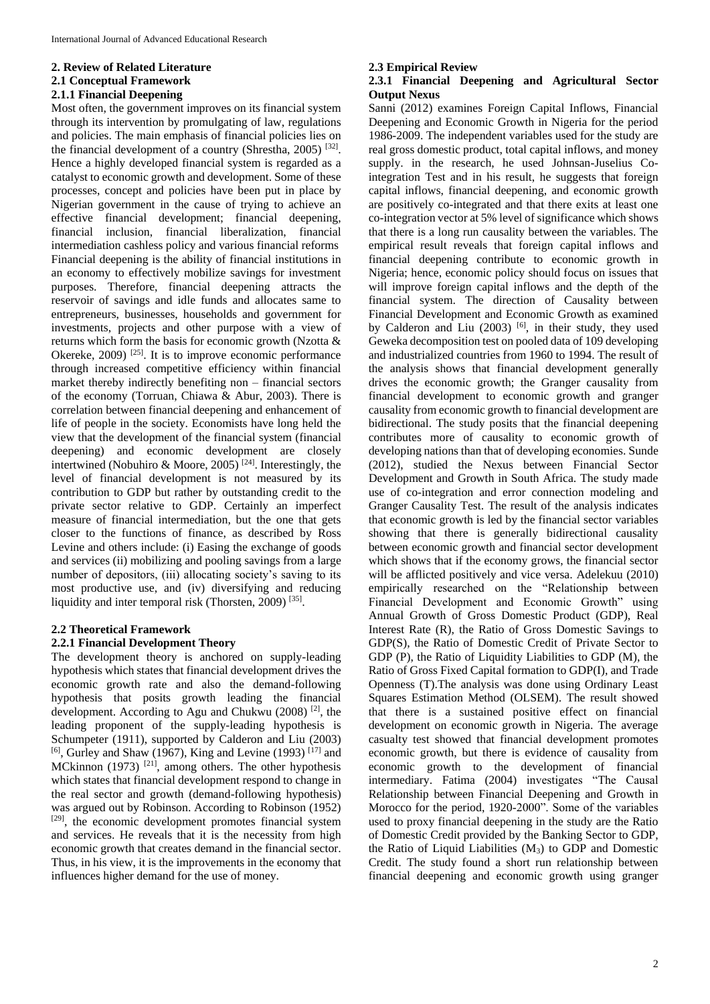## **2. Review of Related Literature 2.1 Conceptual Framework 2.1.1 Financial Deepening**

Most often, the government improves on its financial system through its intervention by promulgating of law, regulations and policies. The main emphasis of financial policies lies on the financial development of a country (Shrestha, 2005)<sup>[32]</sup>. Hence a highly developed financial system is regarded as a catalyst to economic growth and development. Some of these processes, concept and policies have been put in place by Nigerian government in the cause of trying to achieve an effective financial development; financial deepening, financial inclusion, financial liberalization, financial intermediation cashless policy and various financial reforms Financial deepening is the ability of financial institutions in an economy to effectively mobilize savings for investment purposes. Therefore, financial deepening attracts the reservoir of savings and idle funds and allocates same to entrepreneurs, businesses, households and government for investments, projects and other purpose with a view of returns which form the basis for economic growth (Nzotta & Okereke, 2009) <sup>[25]</sup>. It is to improve economic performance through increased competitive efficiency within financial market thereby indirectly benefiting non – financial sectors of the economy (Torruan, Chiawa & Abur, 2003). There is correlation between financial deepening and enhancement of life of people in the society. Economists have long held the view that the development of the financial system (financial deepening) and economic development are closely intertwined (Nobuhiro & Moore, 2005)<sup>[24]</sup>. Interestingly, the level of financial development is not measured by its contribution to GDP but rather by outstanding credit to the private sector relative to GDP. Certainly an imperfect measure of financial intermediation, but the one that gets closer to the functions of finance, as described by Ross Levine and others include: (i) Easing the exchange of goods and services (ii) mobilizing and pooling savings from a large number of depositors, (iii) allocating society's saving to its most productive use, and (iv) diversifying and reducing liquidity and inter temporal risk (Thorsten, 2009)<sup>[35]</sup>.

## **2.2 Theoretical Framework**

## **2.2.1 Financial Development Theory**

The development theory is anchored on supply-leading hypothesis which states that financial development drives the economic growth rate and also the demand-following hypothesis that posits growth leading the financial development. According to Agu and Chukwu (2008)<sup>[2]</sup>, the leading proponent of the supply-leading hypothesis is Schumpeter (1911), supported by Calderon and Liu (2003) [6], Gurley and Shaw (1967), King and Levine (1993)<sup>[17]</sup> and MCkinnon (1973)  $[21]$ , among others. The other hypothesis which states that financial development respond to change in the real sector and growth (demand-following hypothesis) was argued out by Robinson. According to Robinson (1952) [29], the economic development promotes financial system and services. He reveals that it is the necessity from high economic growth that creates demand in the financial sector. Thus, in his view, it is the improvements in the economy that influences higher demand for the use of money.

## **2.3 Empirical Review**

## **2.3.1 Financial Deepening and Agricultural Sector Output Nexus**

Sanni (2012) examines Foreign Capital Inflows, Financial Deepening and Economic Growth in Nigeria for the period 1986-2009. The independent variables used for the study are real gross domestic product, total capital inflows, and money supply. in the research, he used Johnsan-Juselius Cointegration Test and in his result, he suggests that foreign capital inflows, financial deepening, and economic growth are positively co-integrated and that there exits at least one co-integration vector at 5% level of significance which shows that there is a long run causality between the variables. The empirical result reveals that foreign capital inflows and financial deepening contribute to economic growth in Nigeria; hence, economic policy should focus on issues that will improve foreign capital inflows and the depth of the financial system. The direction of Causality between Financial Development and Economic Growth as examined by Calderon and Liu (2003) <sup>[6]</sup>, in their study, they used Geweka decomposition test on pooled data of 109 developing and industrialized countries from 1960 to 1994. The result of the analysis shows that financial development generally drives the economic growth; the Granger causality from financial development to economic growth and granger causality from economic growth to financial development are bidirectional. The study posits that the financial deepening contributes more of causality to economic growth of developing nations than that of developing economies. Sunde (2012), studied the Nexus between Financial Sector Development and Growth in South Africa. The study made use of co-integration and error connection modeling and Granger Causality Test. The result of the analysis indicates that economic growth is led by the financial sector variables showing that there is generally bidirectional causality between economic growth and financial sector development which shows that if the economy grows, the financial sector will be afflicted positively and vice versa. Adelekuu (2010) empirically researched on the "Relationship between Financial Development and Economic Growth" using Annual Growth of Gross Domestic Product (GDP), Real Interest Rate (R), the Ratio of Gross Domestic Savings to GDP(S), the Ratio of Domestic Credit of Private Sector to GDP (P), the Ratio of Liquidity Liabilities to GDP (M), the Ratio of Gross Fixed Capital formation to GDP(I), and Trade Openness (T).The analysis was done using Ordinary Least Squares Estimation Method (OLSEM). The result showed that there is a sustained positive effect on financial development on economic growth in Nigeria. The average casualty test showed that financial development promotes economic growth, but there is evidence of causality from economic growth to the development of financial intermediary. Fatima (2004) investigates "The Causal Relationship between Financial Deepening and Growth in Morocco for the period, 1920-2000". Some of the variables used to proxy financial deepening in the study are the Ratio of Domestic Credit provided by the Banking Sector to GDP, the Ratio of Liquid Liabilities (M3) to GDP and Domestic Credit. The study found a short run relationship between financial deepening and economic growth using granger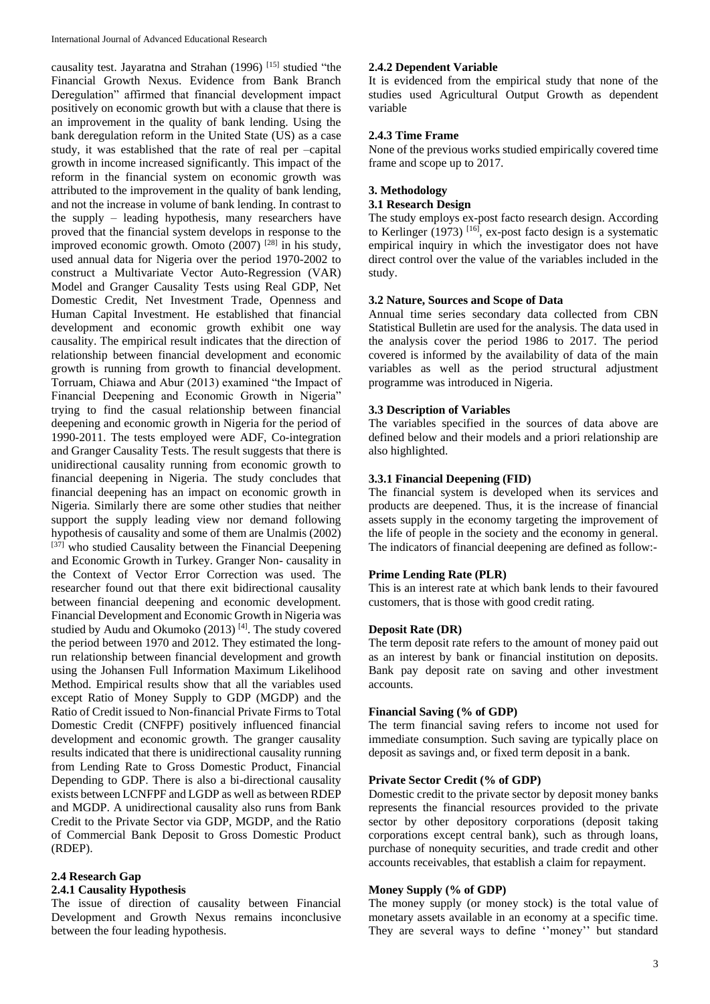causality test. Jayaratna and Strahan (1996) [15] studied "the Financial Growth Nexus. Evidence from Bank Branch Deregulation" affirmed that financial development impact positively on economic growth but with a clause that there is an improvement in the quality of bank lending. Using the bank deregulation reform in the United State (US) as a case study, it was established that the rate of real per –capital growth in income increased significantly. This impact of the reform in the financial system on economic growth was attributed to the improvement in the quality of bank lending, and not the increase in volume of bank lending. In contrast to the supply – leading hypothesis, many researchers have proved that the financial system develops in response to the improved economic growth. Omoto  $(2007)$  <sup>[28]</sup> in his study, used annual data for Nigeria over the period 1970-2002 to construct a Multivariate Vector Auto-Regression (VAR) Model and Granger Causality Tests using Real GDP, Net Domestic Credit, Net Investment Trade, Openness and Human Capital Investment. He established that financial development and economic growth exhibit one way causality. The empirical result indicates that the direction of relationship between financial development and economic growth is running from growth to financial development. Torruam, Chiawa and Abur (2013) examined "the Impact of Financial Deepening and Economic Growth in Nigeria" trying to find the casual relationship between financial deepening and economic growth in Nigeria for the period of 1990-2011. The tests employed were ADF, Co-integration and Granger Causality Tests. The result suggests that there is unidirectional causality running from economic growth to financial deepening in Nigeria. The study concludes that financial deepening has an impact on economic growth in Nigeria. Similarly there are some other studies that neither support the supply leading view nor demand following hypothesis of causality and some of them are Unalmis (2002)  $[37]$  who studied Causality between the Financial Deepening and Economic Growth in Turkey. Granger Non- causality in the Context of Vector Error Correction was used. The researcher found out that there exit bidirectional causality between financial deepening and economic development. Financial Development and Economic Growth in Nigeria was studied by Audu and Okumoko  $(2013)$ <sup>[4]</sup>. The study covered the period between 1970 and 2012. They estimated the longrun relationship between financial development and growth using the Johansen Full Information Maximum Likelihood Method. Empirical results show that all the variables used except Ratio of Money Supply to GDP (MGDP) and the Ratio of Credit issued to Non-financial Private Firms to Total Domestic Credit (CNFPF) positively influenced financial development and economic growth. The granger causality results indicated that there is unidirectional causality running from Lending Rate to Gross Domestic Product, Financial Depending to GDP. There is also a bi-directional causality exists between LCNFPF and LGDP as well as between RDEP and MGDP. A unidirectional causality also runs from Bank Credit to the Private Sector via GDP, MGDP, and the Ratio of Commercial Bank Deposit to Gross Domestic Product (RDEP).

# **2.4 Research Gap**

## **2.4.1 Causality Hypothesis**

The issue of direction of causality between Financial Development and Growth Nexus remains inconclusive between the four leading hypothesis.

#### **2.4.2 Dependent Variable**

It is evidenced from the empirical study that none of the studies used Agricultural Output Growth as dependent variable

## **2.4.3 Time Frame**

None of the previous works studied empirically covered time frame and scope up to 2017.

## **3. Methodology**

## **3.1 Research Design**

The study employs ex-post facto research design. According to Kerlinger  $(1973)$  [16], ex-post facto design is a systematic empirical inquiry in which the investigator does not have direct control over the value of the variables included in the study.

## **3.2 Nature, Sources and Scope of Data**

Annual time series secondary data collected from CBN Statistical Bulletin are used for the analysis. The data used in the analysis cover the period 1986 to 2017. The period covered is informed by the availability of data of the main variables as well as the period structural adjustment programme was introduced in Nigeria.

## **3.3 Description of Variables**

The variables specified in the sources of data above are defined below and their models and a priori relationship are also highlighted.

#### **3.3.1 Financial Deepening (FID)**

The financial system is developed when its services and products are deepened. Thus, it is the increase of financial assets supply in the economy targeting the improvement of the life of people in the society and the economy in general. The indicators of financial deepening are defined as follow:-

#### **Prime Lending Rate (PLR)**

This is an interest rate at which bank lends to their favoured customers, that is those with good credit rating.

## **Deposit Rate (DR)**

The term deposit rate refers to the amount of money paid out as an interest by bank or financial institution on deposits. Bank pay deposit rate on saving and other investment accounts.

#### **Financial Saving (% of GDP)**

The term financial saving refers to income not used for immediate consumption. Such saving are typically place on deposit as savings and, or fixed term deposit in a bank.

#### **Private Sector Credit (% of GDP)**

Domestic credit to the private sector by deposit money banks represents the financial resources provided to the private sector by other depository corporations (deposit taking corporations except central bank), such as through loans, purchase of nonequity securities, and trade credit and other accounts receivables, that establish a claim for repayment.

#### **Money Supply (% of GDP)**

The money supply (or money stock) is the total value of monetary assets available in an economy at a specific time. They are several ways to define ''money'' but standard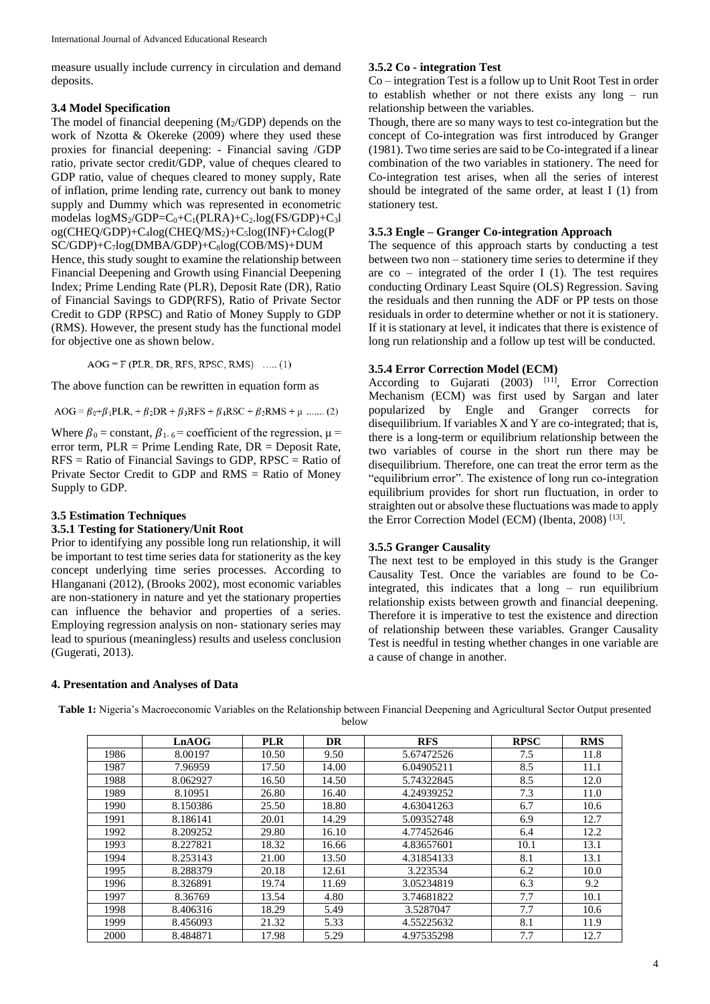measure usually include currency in circulation and demand deposits.

#### **3.4 Model Specification**

The model of financial deepening  $(M_2/GDP)$  depends on the work of Nzotta & Okereke (2009) where they used these proxies for financial deepening: - Financial saving /GDP ratio, private sector credit/GDP, value of cheques cleared to GDP ratio, value of cheques cleared to money supply, Rate of inflation, prime lending rate, currency out bank to money supply and Dummy which was represented in econometric modelas  $log MS_2/GDP=C_0+C_1(PLRA)+C_2.log(FS/GDP)+C_3l$ og(CHEQ/GDP)+C4log(CHEQ/MS2)+C5log(INF)+C6log(P SC/GDP)+C7log(DMBA/GDP)+C8log(COB/MS)+DUM

Hence, this study sought to examine the relationship between Financial Deepening and Growth using Financial Deepening Index; Prime Lending Rate (PLR), Deposit Rate (DR), Ratio of Financial Savings to GDP(RFS), Ratio of Private Sector Credit to GDP (RPSC) and Ratio of Money Supply to GDP (RMS). However, the present study has the functional model for objective one as shown below.

 $AOG = F (PLR, DR, RFS, RPSC, RMS)$ . ..... (1)

The above function can be rewritten in equation form as

 $AOG = \beta_0 + \beta_1 PLR$ ,  $+ \beta_2 DR + \beta_3 RFS + \beta_4 RSC + \beta_5 RMS + \mu$  ....... (2)

Where  $\beta_0$  = constant,  $\beta_{1-6}$  = coefficient of the regression,  $\mu$  = error term, PLR = Prime Lending Rate, DR = Deposit Rate, RFS = Ratio of Financial Savings to GDP, RPSC = Ratio of Private Sector Credit to GDP and RMS = Ratio of Money Supply to GDP.

## **3.5 Estimation Techniques**

#### **3.5.1 Testing for Stationery/Unit Root**

Prior to identifying any possible long run relationship, it will be important to test time series data for stationerity as the key concept underlying time series processes. According to Hlanganani (2012), (Brooks 2002), most economic variables are non-stationery in nature and yet the stationary properties can influence the behavior and properties of a series. Employing regression analysis on non- stationary series may lead to spurious (meaningless) results and useless conclusion (Gugerati, 2013).

#### **4. Presentation and Analyses of Data**

#### **3.5.2 Co - integration Test**

Co – integration Test is a follow up to Unit Root Test in order to establish whether or not there exists any long – run relationship between the variables.

Though, there are so many ways to test co-integration but the concept of Co-integration was first introduced by Granger (1981). Two time series are said to be Co-integrated if a linear combination of the two variables in stationery. The need for Co-integration test arises, when all the series of interest should be integrated of the same order, at least I (1) from stationery test.

## **3.5.3 Engle – Granger Co-integration Approach**

The sequence of this approach starts by conducting a test between two non – stationery time series to determine if they are  $co$  – integrated of the order I (1). The test requires conducting Ordinary Least Squire (OLS) Regression. Saving the residuals and then running the ADF or PP tests on those residuals in order to determine whether or not it is stationery. If it is stationary at level, it indicates that there is existence of long run relationship and a follow up test will be conducted.

#### **3.5.4 Error Correction Model (ECM)**

According to Gujarati  $(2003)$ <sup>[11]</sup>, Error Correction Mechanism (ECM) was first used by Sargan and later popularized by Engle and Granger corrects for disequilibrium. If variables X and Y are co-integrated; that is, there is a long-term or equilibrium relationship between the two variables of course in the short run there may be disequilibrium. Therefore, one can treat the error term as the "equilibrium error". The existence of long run co-integration equilibrium provides for short run fluctuation, in order to straighten out or absolve these fluctuations was made to apply the Error Correction Model (ECM) (Ibenta, 2008)<sup>[13]</sup>.

#### **3.5.5 Granger Causality**

The next test to be employed in this study is the Granger Causality Test. Once the variables are found to be Cointegrated, this indicates that a long – run equilibrium relationship exists between growth and financial deepening. Therefore it is imperative to test the existence and direction of relationship between these variables. Granger Causality Test is needful in testing whether changes in one variable are a cause of change in another.

**Table 1:** Nigeria's Macroeconomic Variables on the Relationship between Financial Deepening and Agricultural Sector Output presented below

|      | LnAOG    | <b>PLR</b> | <b>DR</b> | <b>RFS</b> | <b>RPSC</b> | <b>RMS</b> |
|------|----------|------------|-----------|------------|-------------|------------|
| 1986 | 8.00197  | 10.50      | 9.50      | 5.67472526 | 7.5         | 11.8       |
| 1987 | 7.96959  | 17.50      | 14.00     | 6.04905211 | 8.5         | 11.1       |
| 1988 | 8.062927 | 16.50      | 14.50     | 5.74322845 | 8.5         | 12.0       |
| 1989 | 8.10951  | 26.80      | 16.40     | 4.24939252 | 7.3         | 11.0       |
| 1990 | 8.150386 | 25.50      | 18.80     | 4.63041263 | 6.7         | 10.6       |
| 1991 | 8.186141 | 20.01      | 14.29     | 5.09352748 | 6.9         | 12.7       |
| 1992 | 8.209252 | 29.80      | 16.10     | 4.77452646 | 6.4         | 12.2       |
| 1993 | 8.227821 | 18.32      | 16.66     | 4.83657601 | 10.1        | 13.1       |
| 1994 | 8.253143 | 21.00      | 13.50     | 4.31854133 | 8.1         | 13.1       |
| 1995 | 8.288379 | 20.18      | 12.61     | 3.223534   | 6.2         | 10.0       |
| 1996 | 8.326891 | 19.74      | 11.69     | 3.05234819 | 6.3         | 9.2        |
| 1997 | 8.36769  | 13.54      | 4.80      | 3.74681822 | 7.7         | 10.1       |
| 1998 | 8.406316 | 18.29      | 5.49      | 3.5287047  | 7.7         | 10.6       |
| 1999 | 8.456093 | 21.32      | 5.33      | 4.55225632 | 8.1         | 11.9       |
| 2000 | 8.484871 | 17.98      | 5.29      | 4.97535298 | 7.7         | 12.7       |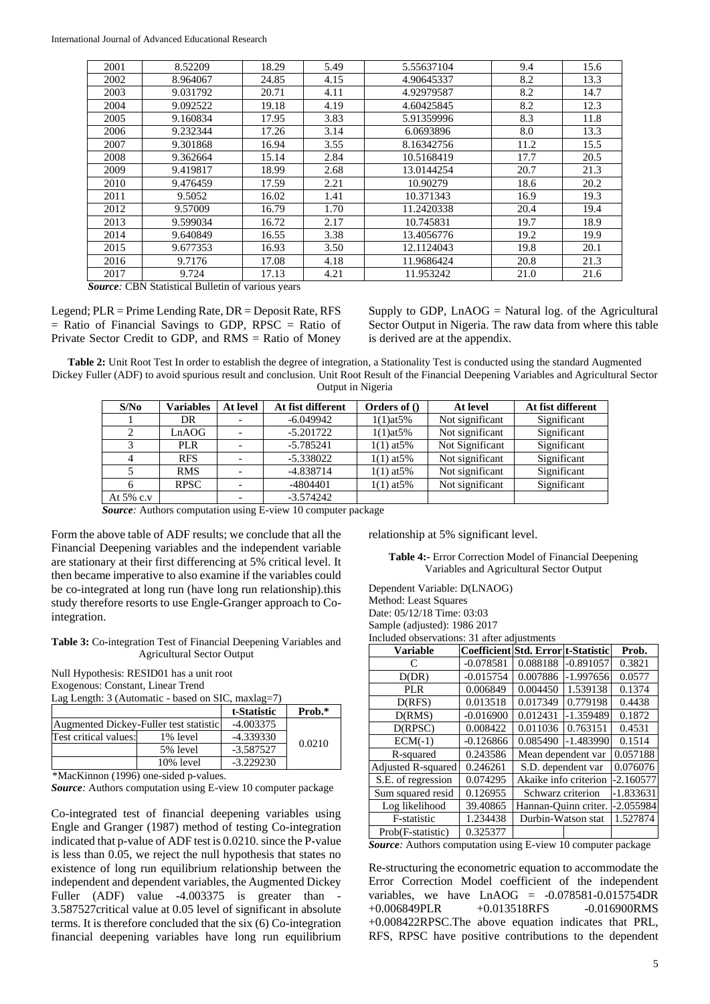| 2001 | 8.52209  | 18.29 | 5.49 | 5.55637104 | 9.4  | 15.6 |
|------|----------|-------|------|------------|------|------|
| 2002 | 8.964067 | 24.85 | 4.15 | 4.90645337 | 8.2  | 13.3 |
| 2003 | 9.031792 | 20.71 | 4.11 | 4.92979587 | 8.2  | 14.7 |
| 2004 | 9.092522 | 19.18 | 4.19 | 4.60425845 | 8.2  | 12.3 |
| 2005 | 9.160834 | 17.95 | 3.83 | 5.91359996 | 8.3  | 11.8 |
| 2006 | 9.232344 | 17.26 | 3.14 | 6.0693896  | 8.0  | 13.3 |
| 2007 | 9.301868 | 16.94 | 3.55 | 8.16342756 | 11.2 | 15.5 |
| 2008 | 9.362664 | 15.14 | 2.84 | 10.5168419 | 17.7 | 20.5 |
| 2009 | 9.419817 | 18.99 | 2.68 | 13.0144254 | 20.7 | 21.3 |
| 2010 | 9.476459 | 17.59 | 2.21 | 10.90279   | 18.6 | 20.2 |
| 2011 | 9.5052   | 16.02 | 1.41 | 10.371343  | 16.9 | 19.3 |
| 2012 | 9.57009  | 16.79 | 1.70 | 11.2420338 | 20.4 | 19.4 |
| 2013 | 9.599034 | 16.72 | 2.17 | 10.745831  | 19.7 | 18.9 |
| 2014 | 9.640849 | 16.55 | 3.38 | 13.4056776 | 19.2 | 19.9 |
| 2015 | 9.677353 | 16.93 | 3.50 | 12.1124043 | 19.8 | 20.1 |
| 2016 | 9.7176   | 17.08 | 4.18 | 11.9686424 | 20.8 | 21.3 |
| 2017 | 9.724    | 17.13 | 4.21 | 11.953242  | 21.0 | 21.6 |

*Source:* CBN Statistical Bulletin of various years

Legend; PLR = Prime Lending Rate, DR = Deposit Rate, RFS  $=$  Ratio of Financial Savings to GDP, RPSC  $=$  Ratio of Private Sector Credit to GDP, and RMS = Ratio of Money

Supply to GDP,  $Ln AOG = Natural log$ , of the Agricultural Sector Output in Nigeria. The raw data from where this table is derived are at the appendix.

**Table 2:** Unit Root Test In order to establish the degree of integration, a Stationality Test is conducted using the standard Augmented Dickey Fuller (ADF) to avoid spurious result and conclusion. Unit Root Result of the Financial Deepening Variables and Agricultural Sector Output in Nigeria

| S/No      | <b>Variables</b> | At level | At fist different | Orders of $()$  | At level        | At fist different |
|-----------|------------------|----------|-------------------|-----------------|-----------------|-------------------|
|           | DR               |          | $-6.049942$       | $1(1)$ at $5%$  | Not significant | Significant       |
|           | LnAOG            |          | $-5.201722$       | $1(1)$ at $5%$  | Not significant | Significant       |
|           | PLR.             |          | $-5.785241$       | $1(1)$ at $5\%$ | Not Significant | Significant       |
|           | <b>RFS</b>       |          | $-5.338022$       | $1(1)$ at $5\%$ | Not significant | Significant       |
|           | <b>RMS</b>       |          | $-4.838714$       | $1(1)$ at $5\%$ | Not significant | Significant       |
|           | <b>RPSC</b>      |          | -4804401          | $1(1)$ at $5\%$ | Not significant | Significant       |
| At 5% c.v |                  |          | $-3.574242$       |                 |                 |                   |

*Source:* Authors computation using E-view 10 computer package

Form the above table of ADF results; we conclude that all the Financial Deepening variables and the independent variable are stationary at their first differencing at 5% critical level. It then became imperative to also examine if the variables could be co-integrated at long run (have long run relationship).this study therefore resorts to use Engle-Granger approach to Cointegration.

**Table 3:** Co**-**integration Test of Financial Deepening Variables and Agricultural Sector Output

Null Hypothesis: RESID01 has a unit root Exogenous: Constant, Linear Trend Lag Length: 3 (Automatic - based on SIC, maxlag=7)

|                                        |             | t-Statistic | Prob.* |
|----------------------------------------|-------------|-------------|--------|
| Augmented Dickey-Fuller test statistic | $-4.003375$ |             |        |
| Test critical values:                  | 1% level    | $-4.339330$ | 0.0210 |
|                                        | 5% level    | $-3.587527$ |        |
|                                        | 10% level   | $-3.229230$ |        |

\*MacKinnon (1996) one-sided p-values.

*Source:* Authors computation using E-view 10 computer package

Co-integrated test of financial deepening variables using Engle and Granger (1987) method of testing Co-integration indicated that p-value of ADF test is 0.0210. since the P-value is less than 0.05, we reject the null hypothesis that states no existence of long run equilibrium relationship between the independent and dependent variables, the Augmented Dickey Fuller (ADF) value -4.003375 is greater than -3.587527critical value at 0.05 level of significant in absolute terms. It is therefore concluded that the six (6) Co-integration financial deepening variables have long run equilibrium relationship at 5% significant level.

**Table 4:-** Error Correction Model of Financial Deepening Variables and Agricultural Sector Output

Dependent Variable: D(LNAOG) Method: Least Squares Date: 05/12/18 Time: 03:03 Sample (adjusted): 1986 2017 Included observations: 31 after adjustments

| neiuwe oosel (auons) of anel aujustments |                                    |                       |             |             |  |  |  |
|------------------------------------------|------------------------------------|-----------------------|-------------|-------------|--|--|--|
| <b>Variable</b>                          | Coefficient Std. Error t-Statistic |                       |             | Prob.       |  |  |  |
| $\subset$                                | $-0.078581$                        | 0.088188              | $-0.891057$ | 0.3821      |  |  |  |
| D(DR)                                    | $-0.015754$                        | 0.007886              | $-1.997656$ | 0.0577      |  |  |  |
| <b>PLR</b>                               | 0.006849                           | 0.004450              | 1.539138    | 0.1374      |  |  |  |
| D(RFS)                                   | 0.013518                           | 0.017349              | 0.779198    | 0.4438      |  |  |  |
| D(RMS)                                   | $-0.016900$                        | 0.012431              | $-1.359489$ | 0.1872      |  |  |  |
| D(RPSC)                                  | 0.008422                           | 0.011036              | 0.763151    | 0.4531      |  |  |  |
| $ECM(-1)$                                | $-0.126866$                        | 0.085490              | $-1.483990$ | 0.1514      |  |  |  |
| R-squared                                | 0.243586                           | Mean dependent var    |             | 0.057188    |  |  |  |
| <b>Adjusted R-squared</b>                | 0.246261                           | S.D. dependent var    |             | 0.076076    |  |  |  |
| S.E. of regression                       | 0.074295                           | Akaike info criterion | $-2.160577$ |             |  |  |  |
| Sum squared resid                        | 0.126955                           | Schwarz criterion     |             | $-1.833631$ |  |  |  |
| Log likelihood                           | 39.40865                           | Hannan-Ouinn criter.  |             | $-2.055984$ |  |  |  |
| F-statistic                              | 1.234438                           | Durbin-Watson stat    |             | 1.527874    |  |  |  |
| Prob(F-statistic)                        | 0.325377                           |                       |             |             |  |  |  |
|                                          |                                    | $\sim$                | $\sim$      |             |  |  |  |

*Source:* Authors computation using E-view 10 computer package

Re-structuring the econometric equation to accommodate the Error Correction Model coefficient of the independent variables, we have  $LnAOG = -0.078581 - 0.015754DR$  $+0.006849$ PLR  $+0.013518$ RFS  $-0.016900$ RMS +0.008422RPSC.The above equation indicates that PRL, RFS, RPSC have positive contributions to the dependent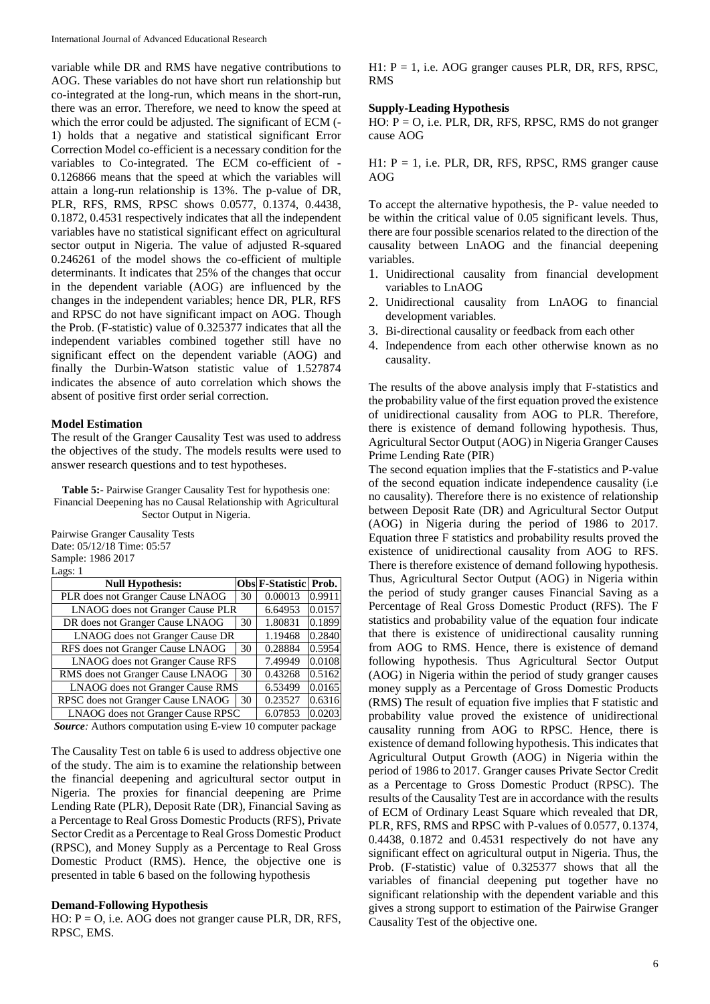variable while DR and RMS have negative contributions to AOG. These variables do not have short run relationship but co-integrated at the long-run, which means in the short-run, there was an error. Therefore, we need to know the speed at which the error could be adjusted. The significant of ECM (- 1) holds that a negative and statistical significant Error Correction Model co-efficient is a necessary condition for the variables to Co-integrated. The ECM co-efficient of - 0.126866 means that the speed at which the variables will attain a long-run relationship is 13%. The p-value of DR, PLR, RFS, RMS, RPSC shows 0.0577, 0.1374, 0.4438, 0.1872, 0.4531 respectively indicates that all the independent variables have no statistical significant effect on agricultural sector output in Nigeria. The value of adjusted R-squared 0.246261 of the model shows the co-efficient of multiple determinants. It indicates that 25% of the changes that occur in the dependent variable (AOG) are influenced by the changes in the independent variables; hence DR, PLR, RFS and RPSC do not have significant impact on AOG. Though the Prob. (F-statistic) value of 0.325377 indicates that all the independent variables combined together still have no significant effect on the dependent variable (AOG) and finally the Durbin-Watson statistic value of 1.527874 indicates the absence of auto correlation which shows the absent of positive first order serial correction.

#### **Model Estimation**

The result of the Granger Causality Test was used to address the objectives of the study. The models results were used to answer research questions and to test hypotheses.

**Table 5:-** Pairwise Granger Causality Test for hypothesis one: Financial Deepening has no Causal Relationship with Agricultural Sector Output in Nigeria.

Pairwise Granger Causality Tests Date: 05/12/18 Time: 05:57 Sample: 1986 2017 Lags: 1

| $\sim$                                   |         |                       |        |
|------------------------------------------|---------|-----------------------|--------|
| <b>Null Hypothesis:</b>                  |         | Obs F-Statistic Prob. |        |
| PLR does not Granger Cause LNAOG         | 30      | 0.00013               | 0.9911 |
| LNAOG does not Granger Cause PLR         |         | 6.64953               | 0.0157 |
| DR does not Granger Cause LNAOG          | 30      | 1.80831               | 0.1899 |
| LNAOG does not Granger Cause DR          |         | 1.19468               | 0.2840 |
| RFS does not Granger Cause LNAOG         | 30      | 0.28884               | 0.5954 |
| LNAOG does not Granger Cause RFS         |         | 7.49949               | 0.0108 |
| RMS does not Granger Cause LNAOG         | 30      | 0.43268               | 0.5162 |
| LNAOG does not Granger Cause RMS         | 6.53499 | 0.0165                |        |
| RPSC does not Granger Cause LNAOG        | 30      | 0.23527               | 0.6316 |
| <b>LNAOG</b> does not Granger Cause RPSC | 6.07853 | 0.0203                |        |

*Source:* Authors computation using E-view 10 computer package

The Causality Test on table 6 is used to address objective one of the study. The aim is to examine the relationship between the financial deepening and agricultural sector output in Nigeria. The proxies for financial deepening are Prime Lending Rate (PLR), Deposit Rate (DR), Financial Saving as a Percentage to Real Gross Domestic Products (RFS), Private Sector Credit as a Percentage to Real Gross Domestic Product (RPSC), and Money Supply as a Percentage to Real Gross Domestic Product (RMS). Hence, the objective one is presented in table 6 based on the following hypothesis

#### **Demand-Following Hypothesis**

HO: P = O, i.e. AOG does not granger cause PLR, DR, RFS, RPSC, EMS.

 $H1: P = 1$ , i.e. AOG granger causes PLR, DR, RFS, RPSC, RMS

#### **Supply-Leading Hypothesis**

 $HO: P = O$ , i.e. PLR, DR, RFS, RPSC, RMS do not granger cause AOG

 $H1: P = 1$ , i.e. PLR, DR, RFS, RPSC, RMS granger cause AOG

To accept the alternative hypothesis, the P- value needed to be within the critical value of 0.05 significant levels. Thus, there are four possible scenarios related to the direction of the causality between LnAOG and the financial deepening variables.

- 1. Unidirectional causality from financial development variables to LnAOG
- 2. Unidirectional causality from LnAOG to financial development variables.
- 3. Bi-directional causality or feedback from each other
- 4. Independence from each other otherwise known as no causality.

The results of the above analysis imply that F-statistics and the probability value of the first equation proved the existence of unidirectional causality from AOG to PLR. Therefore, there is existence of demand following hypothesis. Thus, Agricultural Sector Output (AOG) in Nigeria Granger Causes Prime Lending Rate (PIR)

The second equation implies that the F-statistics and P-value of the second equation indicate independence causality (i.e no causality). Therefore there is no existence of relationship between Deposit Rate (DR) and Agricultural Sector Output (AOG) in Nigeria during the period of 1986 to 2017. Equation three F statistics and probability results proved the existence of unidirectional causality from AOG to RFS. There is therefore existence of demand following hypothesis. Thus, Agricultural Sector Output (AOG) in Nigeria within the period of study granger causes Financial Saving as a Percentage of Real Gross Domestic Product (RFS). The F statistics and probability value of the equation four indicate that there is existence of unidirectional causality running from AOG to RMS. Hence, there is existence of demand following hypothesis. Thus Agricultural Sector Output (AOG) in Nigeria within the period of study granger causes money supply as a Percentage of Gross Domestic Products (RMS) The result of equation five implies that F statistic and probability value proved the existence of unidirectional causality running from AOG to RPSC. Hence, there is existence of demand following hypothesis. This indicates that Agricultural Output Growth (AOG) in Nigeria within the period of 1986 to 2017. Granger causes Private Sector Credit as a Percentage to Gross Domestic Product (RPSC). The results of the Causality Test are in accordance with the results of ECM of Ordinary Least Square which revealed that DR, PLR, RFS, RMS and RPSC with P-values of 0.0577, 0.1374, 0.4438, 0.1872 and 0.4531 respectively do not have any significant effect on agricultural output in Nigeria. Thus, the Prob. (F-statistic) value of 0.325377 shows that all the variables of financial deepening put together have no significant relationship with the dependent variable and this gives a strong support to estimation of the Pairwise Granger Causality Test of the objective one.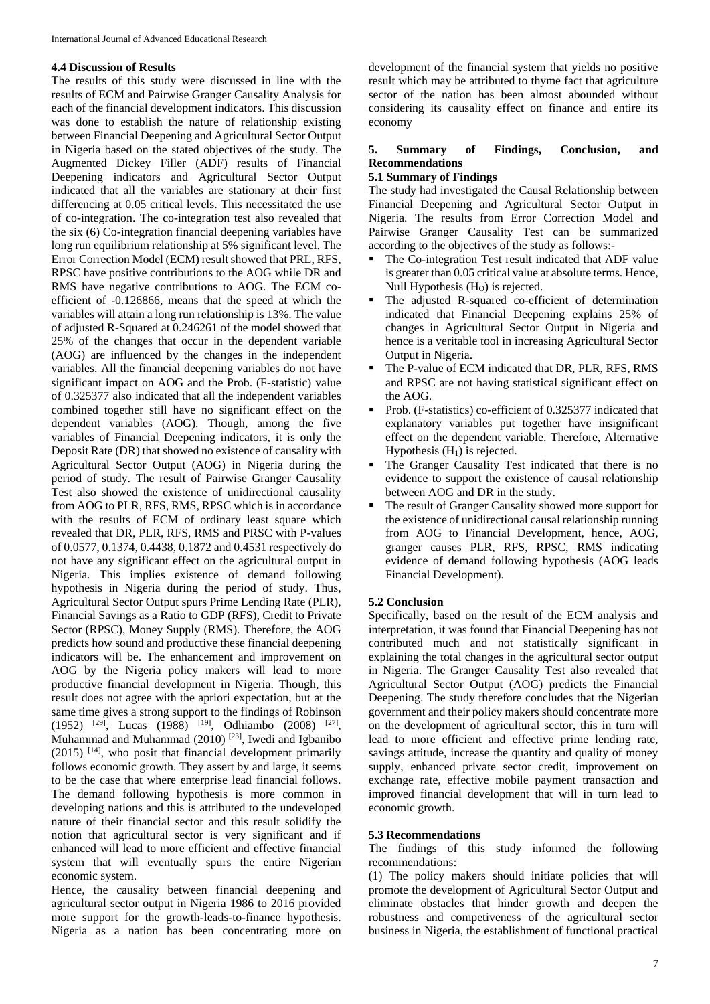#### **4.4 Discussion of Results**

The results of this study were discussed in line with the results of ECM and Pairwise Granger Causality Analysis for each of the financial development indicators. This discussion was done to establish the nature of relationship existing between Financial Deepening and Agricultural Sector Output in Nigeria based on the stated objectives of the study. The Augmented Dickey Filler (ADF) results of Financial Deepening indicators and Agricultural Sector Output indicated that all the variables are stationary at their first differencing at 0.05 critical levels. This necessitated the use of co-integration. The co-integration test also revealed that the six (6) Co-integration financial deepening variables have long run equilibrium relationship at 5% significant level. The Error Correction Model (ECM) result showed that PRL, RFS, RPSC have positive contributions to the AOG while DR and RMS have negative contributions to AOG. The ECM coefficient of -0.126866, means that the speed at which the variables will attain a long run relationship is 13%. The value of adjusted R-Squared at 0.246261 of the model showed that 25% of the changes that occur in the dependent variable (AOG) are influenced by the changes in the independent variables. All the financial deepening variables do not have significant impact on AOG and the Prob. (F-statistic) value of 0.325377 also indicated that all the independent variables combined together still have no significant effect on the dependent variables (AOG). Though, among the five variables of Financial Deepening indicators, it is only the Deposit Rate (DR) that showed no existence of causality with Agricultural Sector Output (AOG) in Nigeria during the period of study. The result of Pairwise Granger Causality Test also showed the existence of unidirectional causality from AOG to PLR, RFS, RMS, RPSC which is in accordance with the results of ECM of ordinary least square which revealed that DR, PLR, RFS, RMS and PRSC with P-values of 0.0577, 0.1374, 0.4438, 0.1872 and 0.4531 respectively do not have any significant effect on the agricultural output in Nigeria. This implies existence of demand following hypothesis in Nigeria during the period of study. Thus, Agricultural Sector Output spurs Prime Lending Rate (PLR), Financial Savings as a Ratio to GDP (RFS), Credit to Private Sector (RPSC), Money Supply (RMS). Therefore, the AOG predicts how sound and productive these financial deepening indicators will be. The enhancement and improvement on AOG by the Nigeria policy makers will lead to more productive financial development in Nigeria. Though, this result does not agree with the apriori expectation, but at the same time gives a strong support to the findings of Robinson  $(1952)$  <sup>[29]</sup>, Lucas (1988) <sup>[19]</sup>, Odhiambo (2008) <sup>[27]</sup>, Muhammad and Muhammad  $(2010)$ <sup>[23]</sup>, Iwedi and Igbanibo  $(2015)$  [14], who posit that financial development primarily follows economic growth. They assert by and large, it seems to be the case that where enterprise lead financial follows. The demand following hypothesis is more common in developing nations and this is attributed to the undeveloped nature of their financial sector and this result solidify the notion that agricultural sector is very significant and if enhanced will lead to more efficient and effective financial system that will eventually spurs the entire Nigerian economic system.

Hence, the causality between financial deepening and agricultural sector output in Nigeria 1986 to 2016 provided more support for the growth-leads-to-finance hypothesis. Nigeria as a nation has been concentrating more on

development of the financial system that yields no positive result which may be attributed to thyme fact that agriculture sector of the nation has been almost abounded without considering its causality effect on finance and entire its economy

## **5. Summary of Findings, Conclusion, and Recommendations**

## **5.1 Summary of Findings**

The study had investigated the Causal Relationship between Financial Deepening and Agricultural Sector Output in Nigeria. The results from Error Correction Model and Pairwise Granger Causality Test can be summarized according to the objectives of the study as follows:-

- The Co-integration Test result indicated that ADF value is greater than 0.05 critical value at absolute terms. Hence, Null Hypothesis  $(H<sub>0</sub>)$  is rejected.
- The adjusted R-squared co-efficient of determination indicated that Financial Deepening explains 25% of changes in Agricultural Sector Output in Nigeria and hence is a veritable tool in increasing Agricultural Sector Output in Nigeria.
- The P-value of ECM indicated that DR, PLR, RFS, RMS and RPSC are not having statistical significant effect on the AOG.
- Prob. (F-statistics) co-efficient of 0.325377 indicated that explanatory variables put together have insignificant effect on the dependent variable. Therefore, Alternative Hypothesis  $(H<sub>1</sub>)$  is rejected.
- The Granger Causality Test indicated that there is no evidence to support the existence of causal relationship between AOG and DR in the study.
- The result of Granger Causality showed more support for the existence of unidirectional causal relationship running from AOG to Financial Development, hence, AOG, granger causes PLR, RFS, RPSC, RMS indicating evidence of demand following hypothesis (AOG leads Financial Development).

## **5.2 Conclusion**

Specifically, based on the result of the ECM analysis and interpretation, it was found that Financial Deepening has not contributed much and not statistically significant in explaining the total changes in the agricultural sector output in Nigeria. The Granger Causality Test also revealed that Agricultural Sector Output (AOG) predicts the Financial Deepening. The study therefore concludes that the Nigerian government and their policy makers should concentrate more on the development of agricultural sector, this in turn will lead to more efficient and effective prime lending rate, savings attitude, increase the quantity and quality of money supply, enhanced private sector credit, improvement on exchange rate, effective mobile payment transaction and improved financial development that will in turn lead to economic growth.

#### **5.3 Recommendations**

The findings of this study informed the following recommendations:

(1) The policy makers should initiate policies that will promote the development of Agricultural Sector Output and eliminate obstacles that hinder growth and deepen the robustness and competiveness of the agricultural sector business in Nigeria, the establishment of functional practical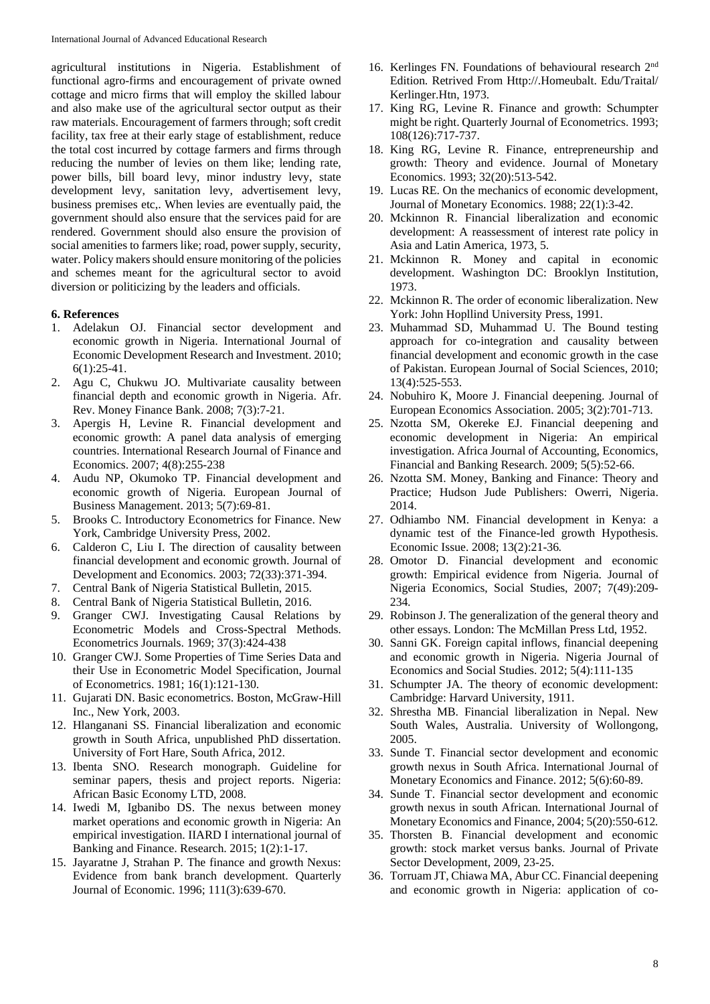agricultural institutions in Nigeria. Establishment of functional agro-firms and encouragement of private owned cottage and micro firms that will employ the skilled labour and also make use of the agricultural sector output as their raw materials. Encouragement of farmers through; soft credit facility, tax free at their early stage of establishment, reduce the total cost incurred by cottage farmers and firms through reducing the number of levies on them like; lending rate, power bills, bill board levy, minor industry levy, state development levy, sanitation levy, advertisement levy, business premises etc,. When levies are eventually paid, the government should also ensure that the services paid for are rendered. Government should also ensure the provision of social amenities to farmers like; road, power supply, security, water. Policy makers should ensure monitoring of the policies and schemes meant for the agricultural sector to avoid diversion or politicizing by the leaders and officials.

#### **6. References**

- 1. Adelakun OJ. Financial sector development and economic growth in Nigeria. International Journal of Economic Development Research and Investment. 2010; 6(1):25-41.
- 2. Agu C, Chukwu JO. Multivariate causality between financial depth and economic growth in Nigeria. Afr. Rev. Money Finance Bank. 2008; 7(3):7-21.
- 3. Apergis H, Levine R. Financial development and economic growth: A panel data analysis of emerging countries. International Research Journal of Finance and Economics. 2007; 4(8):255-238
- 4. Audu NP, Okumoko TP. Financial development and economic growth of Nigeria. European Journal of Business Management. 2013; 5(7):69-81.
- 5. Brooks C. Introductory Econometrics for Finance. New York, Cambridge University Press, 2002.
- 6. Calderon C, Liu I. The direction of causality between financial development and economic growth. Journal of Development and Economics. 2003; 72(33):371-394.
- 7. Central Bank of Nigeria Statistical Bulletin, 2015.
- 8. Central Bank of Nigeria Statistical Bulletin, 2016.
- 9. Granger CWJ. Investigating Causal Relations by Econometric Models and Cross-Spectral Methods. Econometrics Journals. 1969; 37(3):424-438
- 10. Granger CWJ. Some Properties of Time Series Data and their Use in Econometric Model Specification, Journal of Econometrics. 1981; 16(1):121-130.
- 11. Gujarati DN. Basic econometrics. Boston, McGraw-Hill Inc., New York, 2003.
- 12. Hlanganani SS. Financial liberalization and economic growth in South Africa, unpublished PhD dissertation. University of Fort Hare, South Africa, 2012.
- 13. Ibenta SNO. Research monograph. Guideline for seminar papers, thesis and project reports. Nigeria: African Basic Economy LTD, 2008.
- 14. Iwedi M, Igbanibo DS. The nexus between money market operations and economic growth in Nigeria: An empirical investigation. IIARD I international journal of Banking and Finance. Research. 2015; 1(2):1-17.
- 15. Jayaratne J, Strahan P. The finance and growth Nexus: Evidence from bank branch development. Quarterly Journal of Economic. 1996; 111(3):639-670.
- 16. Kerlinges FN. Foundations of behavioural research 2nd Edition*.* Retrived From Http://.Homeubalt. Edu/Traital/ Kerlinger.Htn, 1973.
- 17. King RG, Levine R. Finance and growth: Schumpter might be right. Quarterly Journal of Econometrics. 1993; 108(126):717-737.
- 18. King RG, Levine R. Finance, entrepreneurship and growth: Theory and evidence. Journal of Monetary Economics. 1993; 32(20):513-542.
- 19. Lucas RE. On the mechanics of economic development, Journal of Monetary Economics. 1988; 22(1):3-42.
- 20. Mckinnon R. Financial liberalization and economic development: A reassessment of interest rate policy in Asia and Latin America, 1973, 5.
- 21. Mckinnon R. Money and capital in economic development. Washington DC: Brooklyn Institution, 1973.
- 22. Mckinnon R. The order of economic liberalization. New York: John Hopllind University Press, 1991.
- 23. Muhammad SD, Muhammad U. The Bound testing approach for co-integration and causality between financial development and economic growth in the case of Pakistan. European Journal of Social Sciences, 2010; 13(4):525-553.
- 24. Nobuhiro K, Moore J. Financial deepening. Journal of European Economics Association. 2005; 3(2):701-713.
- 25. Nzotta SM, Okereke EJ. Financial deepening and economic development in Nigeria: An empirical investigation. Africa Journal of Accounting, Economics, Financial and Banking Research. 2009; 5(5):52-66.
- 26. Nzotta SM. Money, Banking and Finance: Theory and Practice; Hudson Jude Publishers: Owerri, Nigeria. 2014.
- 27. Odhiambo NM. Financial development in Kenya: a dynamic test of the Finance-led growth Hypothesis. Economic Issue. 2008; 13(2):21-36*.*
- 28. Omotor D. Financial development and economic growth: Empirical evidence from Nigeria. Journal of Nigeria Economics, Social Studies, 2007; 7(49):209- 234*.*
- 29. Robinson J. The generalization of the general theory and other essays. London: The McMillan Press Ltd, 1952.
- 30. Sanni GK. Foreign capital inflows, financial deepening and economic growth in Nigeria. Nigeria Journal of Economics and Social Studies. 2012; 5(4):111-135
- 31. Schumpter JA. The theory of economic development: Cambridge: Harvard University, 1911.
- 32. Shrestha MB. Financial liberalization in Nepal. New South Wales, Australia. University of Wollongong, 2005.
- 33. Sunde T. Financial sector development and economic growth nexus in South Africa. International Journal of Monetary Economics and Finance. 2012; 5(6):60-89.
- 34. Sunde T. Financial sector development and economic growth nexus in south African*.* International Journal of Monetary Economics and Finance, 2004; 5(20):550-612*.*
- 35. Thorsten B. Financial development and economic growth: stock market versus banks. Journal of Private Sector Development, 2009, 23-25.
- 36. Torruam JT, Chiawa MA, Abur CC. Financial deepening and economic growth in Nigeria: application of co-